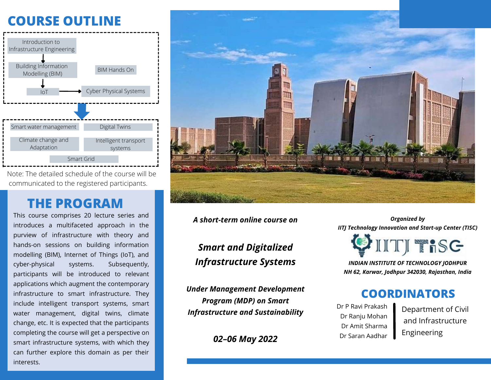# **COURSE OUTLINE**



Note: The detailed schedule of the course will be communicated to the registered participants.

## **THE PROGRAM**

This course comprises 20 lecture series and introduces a multifaceted approach in the purview of infrastructure with theory and hands-on sessions on building information modelling (BIM), Internet of Things (IoT), and cyber-physical systems. Subsequently, participants will be introduced to relevant applications which augment the contemporary infrastructure to smart infrastructure. They include intelligent transport systems, smart water management, digital twins, climate change, etc. It is expected that the participants completing the course will get a perspective on smart infrastructure systems, with which they can further explore this domain as per their interests.



*A short-term online course on*

*Smart and Digitalized Infrastructure Systems*

*Under Management Development Program (MDP) on Smart Infrastructure and Sustainability*

*02–06 May 2022*

*Organized by IITJ Technology Innovation and Start-up Center (TISC)*



*INDIAN INSTITUTE OF TECHNOLOGY JODHPUR NH 62, Karwar, Jodhpur 342030, Rajasthan, India*

#### **COORDINATORS**

Dr P Ravi Prakash Dr Ranju Mohan Dr Amit Sharma Dr Saran Aadhar

Department of Civil and Infrastructure Engineering